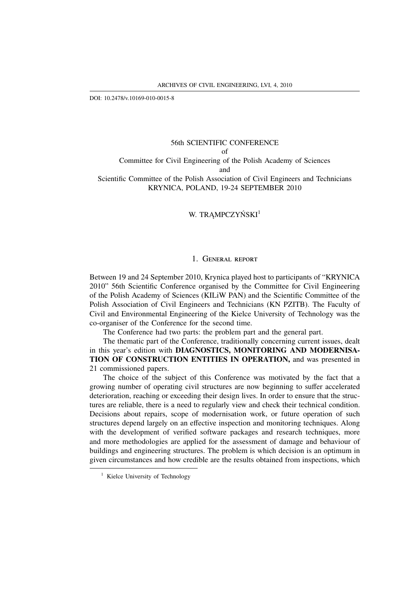DOI: 10.2478/v.10169-010-0015-8

## 56th SCIENTIFIC CONFERENCE of Committee for Civil Engineering of the Polish Academy of Sciences

and

Scientific Committee of the Polish Association of Civil Engineers and Technicians KRYNICA, POLAND, 19-24 SEPTEMBER 2010

## W. TRAMPCZYŃSKI<sup>1</sup>

## 1. GENERAL REPORT

Between 19 and 24 September 2010, Krynica played host to participants of "KRYNICA 2010" 56th Scientific Conference organised by the Committee for Civil Engineering of the Polish Academy of Sciences (KILiW PAN) and the Scientific Committee of the Polish Association of Civil Engineers and Technicians (KN PZITB). The Faculty of Civil and Environmental Engineering of the Kielce University of Technology was the co-organiser of the Conference for the second time.

The Conference had two parts: the problem part and the general part.

The thematic part of the Conference, traditionally concerning current issues, dealt in this year's edition with **DIAGNOSTICS, MONITORING AND MODERNISA-TION OF CONSTRUCTION ENTITIES IN OPERATION,** and was presented in 21 commissioned papers.

The choice of the subject of this Conference was motivated by the fact that a growing number of operating civil structures are now beginning to suffer accelerated deterioration, reaching or exceeding their design lives. In order to ensure that the structures are reliable, there is a need to regularly view and check their technical condition. Decisions about repairs, scope of modernisation work, or future operation of such structures depend largely on an effective inspection and monitoring techniques. Along with the development of verified software packages and research techniques, more and more methodologies are applied for the assessment of damage and behaviour of buildings and engineering structures. The problem is which decision is an optimum in given circumstances and how credible are the results obtained from inspections, which

<sup>&</sup>lt;sup>1</sup> Kielce University of Technology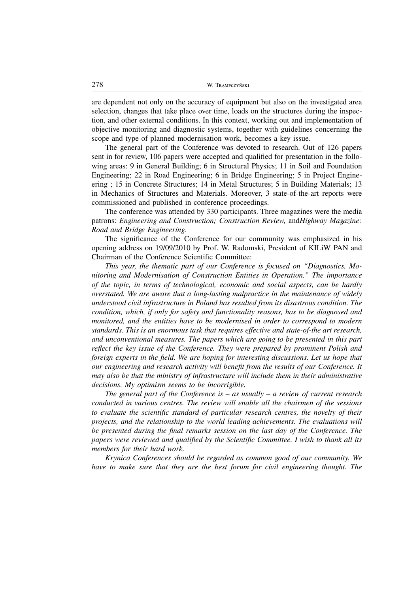are dependent not only on the accuracy of equipment but also on the investigated area selection, changes that take place over time, loads on the structures during the inspection, and other external conditions. In this context, working out and implementation of objective monitoring and diagnostic systems, together with guidelines concerning the scope and type of planned modernisation work, becomes a key issue.

The general part of the Conference was devoted to research. Out of 126 papers sent in for review, 106 papers were accepted and qualified for presentation in the following areas: 9 in General Building; 6 in Structural Physics; 11 in Soil and Foundation Engineering; 22 in Road Engineering; 6 in Bridge Engineering; 5 in Project Engineering ; 15 in Concrete Structures; 14 in Metal Structures; 5 in Building Materials; 13 in Mechanics of Structures and Materials. Moreover, 3 state-of-the-art reports were commissioned and published in conference proceedings.

The conference was attended by 330 participants. Three magazines were the media patrons: *Engineering and Construction; Construction Review,* and*Highway Magazine: Road and Bridge Engineering.*

The significance of the Conference for our community was emphasized in his opening address on 19/09/2010 by Prof. W. Radomski, President of KILiW PAN and Chairman of the Conference Scientific Committee:

*This year, the thematic part of our Conference is focused on "Diagnostics, Monitoring and Modernisation of Construction Entities in Operation." The importance of the topic, in terms of technological, economic and social aspects, can be hardly overstated. We are aware that a long-lasting malpractice in the maintenance of widely understood civil infrastructure in Poland has resulted from its disastrous condition. The condition, which, if only for safety and functionality reasons, has to be diagnosed and monitored, and the entities have to be modernised in order to correspond to modern standards. This is an enormous task that requires effective and state-of-the art research, and unconventional measures. The papers which are going to be presented in this part reflect the key issue of the Conference. They were prepared by prominent Polish and foreign experts in the field. We are hoping for interesting discussions. Let us hope that our engineering and research activity will benefit from the results of our Conference. It may also be that the ministry of infrastructure will include them in their administrative decisions. My optimism seems to be incorrigible.*

*The general part of the Conference is – as usually – a review of current research conducted in various centres. The review will enable all the chairmen of the sessions to evaluate the scientific standard of particular research centres, the novelty of their projects, and the relationship to the world leading achievements. The evaluations will be presented during the final remarks session on the last day of the Conference. The papers were reviewed and qualified by the Scientific Committee. I wish to thank all its members for their hard work.*

*Krynica Conferences should be regarded as common good of our community. We have to make sure that they are the best forum for civil engineering thought. The*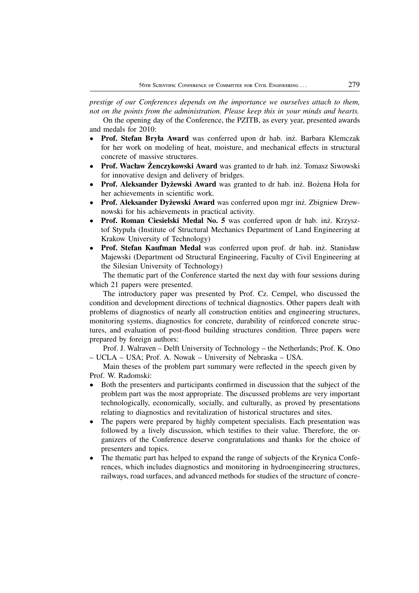*prestige of our Conferences depends on the importance we ourselves attach to them, not on the points from the administration. Please keep this in your minds and hearts.*

On the opening day of the Conference, the PZITB, as every year, presented awards and medals for 2010:

- **Prof. Stefan Bryła Award** was conferred upon dr hab. inż. Barbara Klemczak for her work on modeling of heat, moisture, and mechanical effects in structural concrete of massive structures.
- **Prof. Wacław Żenczykowski Award** was granted to dr hab. inż. Tomasz Siwowski for innovative design and delivery of bridges.
- **Prof. Aleksander Dyżewski Award** was granted to dr hab. inż. Bożena Hoła for her achievements in scientific work.
- **Prof. Aleksander Dyżewski Award** was conferred upon mgr inż. Zbigniew Drewnowski for his achievements in practical activity.
- **Prof. Roman Ciesielski Medal No. 5** was conferred upon dr hab. inż. Krzysztof Stypuła (Institute of Structural Mechanics Department of Land Engineering at Krakow University of Technology)
- **Prof. Stefan Kaufman Medal** was conferred upon prof. dr hab. inż. Stanisław Majewski (Department od Structural Engineering, Faculty of Civil Engineering at the Silesian University of Technology)

The thematic part of the Conference started the next day with four sessions during which 21 papers were presented.

The introductory paper was presented by Prof. Cz. Cempel, who discussed the condition and development directions of technical diagnostics. Other papers dealt with problems of diagnostics of nearly all construction entities and engineering structures, monitoring systems, diagnostics for concrete, durability of reinforced concrete structures, and evaluation of post-flood building structures condition. Three papers were prepared by foreign authors:

Prof. J. Walraven – Delft University of Technology – the Netherlands; Prof. K. Ono – UCLA – USA; Prof. A. Nowak – University of Nebraska – USA.

Main theses of the problem part summary were reflected in the speech given by Prof. W. Radomski:

- Both the presenters and participants confirmed in discussion that the subject of the problem part was the most appropriate. The discussed problems are very important technologically, economically, socially, and culturally, as proved by presentations relating to diagnostics and revitalization of historical structures and sites.
- The papers were prepared by highly competent specialists. Each presentation was followed by a lively discussion, which testifies to their value. Therefore, the organizers of the Conference deserve congratulations and thanks for the choice of presenters and topics.
- The thematic part has helped to expand the range of subjects of the Krynica Conferences, which includes diagnostics and monitoring in hydroengineering structures, railways, road surfaces, and advanced methods for studies of the structure of concre-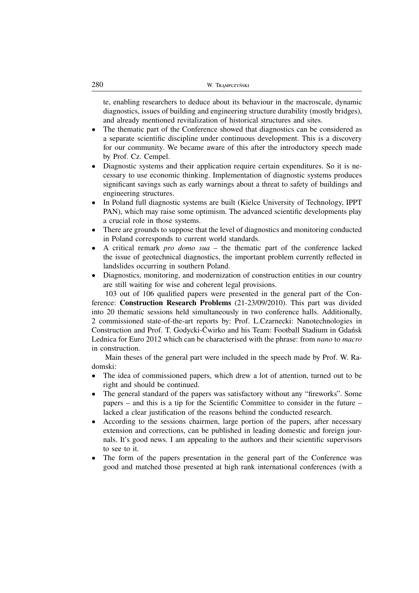te, enabling researchers to deduce about its behaviour in the macroscale, dynamic diagnostics, issues of building and engineering structure durability (mostly bridges), and already mentioned revitalization of historical structures and sites.

- The thematic part of the Conference showed that diagnostics can be considered as a separate scientific discipline under continuous development. This is a discovery for our community. We became aware of this after the introductory speech made by Prof. Cz. Cempel.
- Diagnostic systems and their application require certain expenditures. So it is necessary to use economic thinking. Implementation of diagnostic systems produces significant savings such as early warnings about a threat to safety of buildings and engineering structures.
- In Poland full diagnostic systems are built (Kielce University of Technology, IPPT PAN), which may raise some optimism. The advanced scientific developments play a crucial role in those systems.
- There are grounds to suppose that the level of diagnostics and monitoring conducted in Poland corresponds to current world standards.
- A critical remark *pro domo sua* the thematic part of the conference lacked the issue of geotechnical diagnostics, the important problem currently reflected in landslides occurring in southern Poland.
- Diagnostics, monitoring, and modernization of construction entities in our country are still waiting for wise and coherent legal provisions.

103 out of 106 qualified papers were presented in the general part of the Conference: **Construction Research Problems** (21-23/09/2010). This part was divided into 20 thematic sessions held simultaneously in two conference halls. Additionally, 2 commissioned state-of-the-art reports by: Prof. L.Czarnecki: Nanotechnologies in Construction and Prof. T. Godycki-Ćwirko and his Team: Football Stadium in Gdańsk Lednica for Euro 2012 which can be characterised with the phrase: from *nano* to *macro* in construction.

Main theses of the general part were included in the speech made by Prof. W. Radomski:

- The idea of commissioned papers, which drew a lot of attention, turned out to be right and should be continued.
- The general standard of the papers was satisfactory without any "fireworks". Some papers – and this is a tip for the Scientific Committee to consider in the future – lacked a clear justification of the reasons behind the conducted research.
- According to the sessions chairmen, large portion of the papers, after necessary extension and corrections, can be published in leading domestic and foreign journals. It's good news. I am appealing to the authors and their scientific supervisors to see to it.
- The form of the papers presentation in the general part of the Conference was good and matched those presented at high rank international conferences (with a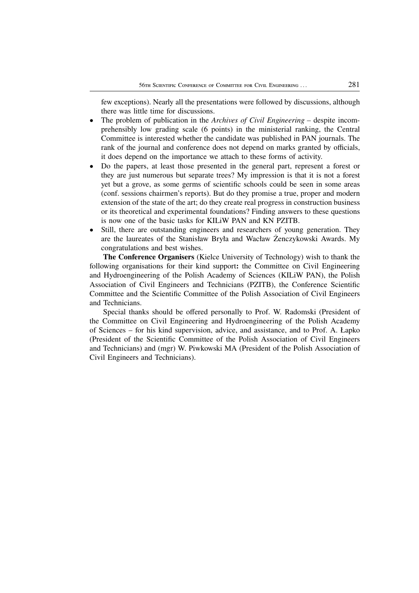few exceptions). Nearly all the presentations were followed by discussions, although there was little time for discussions.

- The problem of publication in the *Archives of Civil Engineering –* despite incomprehensibly low grading scale (6 points) in the ministerial ranking, the Central Committee is interested whether the candidate was published in PAN journals. The rank of the journal and conference does not depend on marks granted by officials, it does depend on the importance we attach to these forms of activity.
- Do the papers, at least those presented in the general part, represent a forest or they are just numerous but separate trees? My impression is that it is not a forest yet but a grove, as some germs of scientific schools could be seen in some areas (conf. sessions chairmen's reports). But do they promise a true, proper and modern extension of the state of the art; do they create real progress in construction business or its theoretical and experimental foundations? Finding answers to these questions is now one of the basic tasks for KILiW PAN and KN PZITB.
- Still, there are outstanding engineers and researchers of young generation. They are the laureates of the Stanisław Bryła and Wacław Żenczykowski Awards. My congratulations and best wishes.

**The Conference Organisers** (Kielce University of Technology) wish to thank the following organisations for their kind support**:** the Committee on Civil Engineering and Hydroengineering of the Polish Academy of Sciences (KILiW PAN), the Polish Association of Civil Engineers and Technicians (PZITB), the Conference Scientific Committee and the Scientific Committee of the Polish Association of Civil Engineers and Technicians.

Special thanks should be offered personally to Prof. W. Radomski (President of the Committee on Civil Engineering and Hydroengineering of the Polish Academy of Sciences – for his kind supervision, advice, and assistance, and to Prof. A. Łapko (President of the Scientific Committee of the Polish Association of Civil Engineers and Technicians) and (mgr) W. Piwkowski MA (President of the Polish Association of Civil Engineers and Technicians).